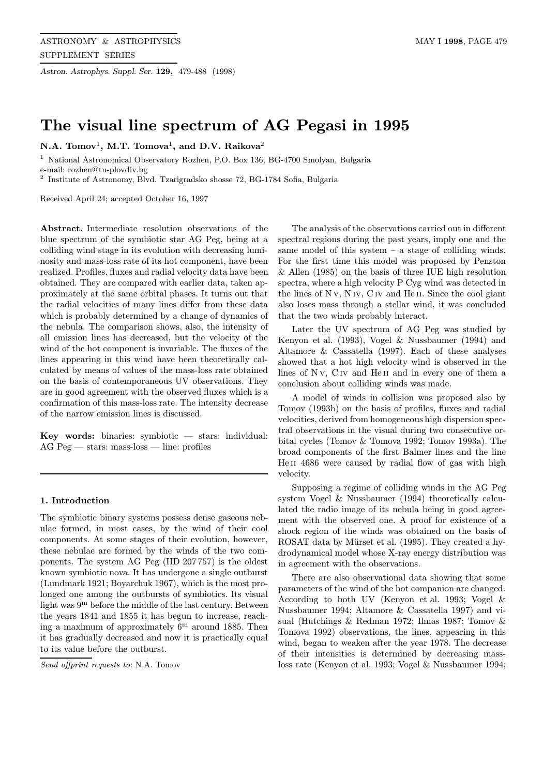Astron. Astrophys. Suppl. Ser. 129, 479-488 (1998)

# The visual line spectrum of AG Pegasi in 1995

N.A. Tomov<sup>1</sup>, M.T. Tomova<sup>1</sup>, and D.V. Raikova<sup>2</sup>

<sup>1</sup> National Astronomical Observatory Rozhen, P.O. Box 136, BG-4700 Smolyan, Bulgaria

e-mail: rozhen@tu-plovdiv.bg

 $^{\rm 2}$  Institute of Astronomy, Blvd. Tzarigradsko shosse 72, BG-1784 Sofia, Bulgaria

Received April 24; accepted October 16, 1997

Abstract. Intermediate resolution observations of the blue spectrum of the symbiotic star AG Peg, being at a colliding wind stage in its evolution with decreasing luminosity and mass-loss rate of its hot component, have been realized. Profiles, fluxes and radial velocity data have been obtained. They are compared with earlier data, taken approximately at the same orbital phases. It turns out that the radial velocities of many lines differ from these data which is probably determined by a change of dynamics of the nebula. The comparison shows, also, the intensity of all emission lines has decreased, but the velocity of the wind of the hot component is invariable. The fluxes of the lines appearing in this wind have been theoretically calculated by means of values of the mass-loss rate obtained on the basis of contemporaneous UV observations. They are in good agreement with the observed fluxes which is a confirmation of this mass-loss rate. The intensity decrease of the narrow emission lines is discussed.

Key words: binaries: symbiotic  $-$  stars: individual: AG Peg — stars: mass-loss — line: profiles

# 1. Introduction

The symbiotic binary systems possess dense gaseous nebulae formed, in most cases, by the wind of their cool components. At some stages of their evolution, however, these nebulae are formed by the winds of the two components. The system AG Peg (HD 207 757) is the oldest known symbiotic nova. It has undergone a single outburst (Lundmark 1921; Boyarchuk 1967), which is the most prolonged one among the outbursts of symbiotics. Its visual light was 9<sup>m</sup> before the middle of the last century. Between the years 1841 and 1855 it has begun to increase, reaching a maximum of approximately  $6<sup>m</sup>$  around 1885. Then it has gradually decreased and now it is practically equal to its value before the outburst.

Send offprint requests to: N.A. Tomov

The analysis of the observations carried out in different spectral regions during the past years, imply one and the same model of this system – a stage of colliding winds. For the first time this model was proposed by Penston & Allen (1985) on the basis of three IUE high resolution spectra, where a high velocity P Cyg wind was detected in the lines of N v, N iv, C iv and He II. Since the cool giant also loses mass through a stellar wind, it was concluded that the two winds probably interact.

Later the UV spectrum of AG Peg was studied by Kenyon et al. (1993), Vogel & Nussbaumer (1994) and Altamore & Cassatella (1997). Each of these analyses showed that a hot high velocity wind is observed in the lines of N<sub>V</sub>, C<sub>IV</sub> and He<sub>II</sub> and in every one of them a conclusion about colliding winds was made.

A model of winds in collision was proposed also by Tomov (1993b) on the basis of profiles, fluxes and radial velocities, derived from homogeneous high dispersion spectral observations in the visual during two consecutive orbital cycles (Tomov & Tomova 1992; Tomov 1993a). The broad components of the first Balmer lines and the line He II 4686 were caused by radial flow of gas with high velocity.

Supposing a regime of colliding winds in the AG Peg system Vogel & Nussbaumer (1994) theoretically calculated the radio image of its nebula being in good agreement with the observed one. A proof for existence of a shock region of the winds was obtained on the basis of ROSAT data by Mürset et al. (1995). They created a hydrodynamical model whose X-ray energy distribution was in agreement with the observations.

There are also observational data showing that some parameters of the wind of the hot companion are changed. According to both UV (Kenyon et al. 1993; Vogel & Nussbaumer 1994; Altamore & Cassatella 1997) and visual (Hutchings & Redman 1972; Ilmas 1987; Tomov & Tomova 1992) observations, the lines, appearing in this wind, began to weaken after the year 1978. The decrease of their intensities is determined by decreasing massloss rate (Kenyon et al. 1993; Vogel & Nussbaumer 1994;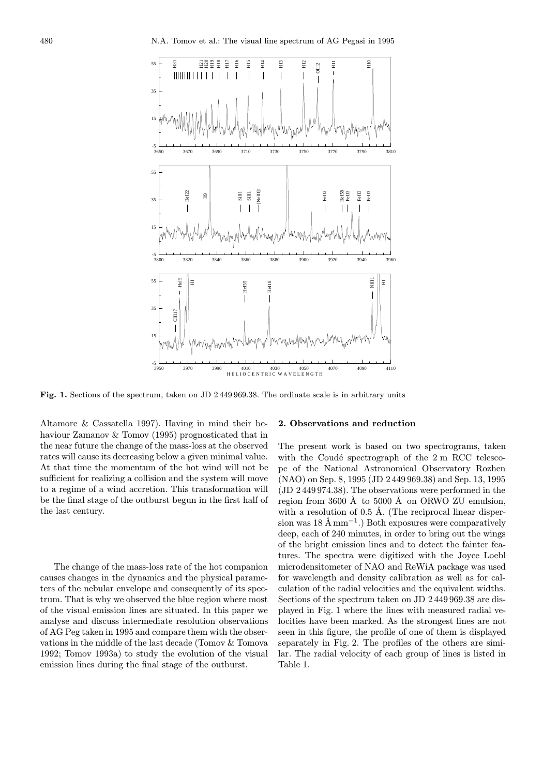

Fig. 1. Sections of the spectrum, taken on JD 2 449 969.38. The ordinate scale is in arbitrary units

Altamore & Cassatella 1997). Having in mind their behaviour Zamanov & Tomov (1995) prognosticated that in the near future the change of the mass-loss at the observed rates will cause its decreasing below a given minimal value. At that time the momentum of the hot wind will not be sufficient for realizing a collision and the system will move to a regime of a wind accretion. This transformation will be the final stage of the outburst begun in the first half of the last century.

The change of the mass-loss rate of the hot companion causes changes in the dynamics and the physical parameters of the nebular envelope and consequently of its spectrum. That is why we observed the blue region where most of the visual emission lines are situated. In this paper we analyse and discuss intermediate resolution observations of AG Peg taken in 1995 and compare them with the observations in the middle of the last decade (Tomov & Tomova 1992; Tomov 1993a) to study the evolution of the visual emission lines during the final stage of the outburst.

## 2. Observations and reduction

The present work is based on two spectrograms, taken with the Coudé spectrograph of the  $2 \text{ m } RCC$  telescope of the National Astronomical Observatory Rozhen (NAO) on Sep. 8, 1995 (JD 2 449 969.38) and Sep. 13, 1995 (JD 2 449 974.38). The observations were performed in the region from  $3600 \text{ Å}$  to  $5000 \text{ Å}$  on ORWO ZU emulsion, with a resolution of 0.5 Å. (The reciprocal linear dispersion was  $18 \text{ Å mm}^{-1}$ .) Both exposures were comparatively deep, each of 240 minutes, in order to bring out the wings of the bright emission lines and to detect the fainter features. The spectra were digitized with the Joyce Loebl microdensitometer of NAO and ReWiA package was used for wavelength and density calibration as well as for calculation of the radial velocities and the equivalent widths. Sections of the spectrum taken on JD 2 449 969.38 are displayed in Fig. 1 where the lines with measured radial velocities have been marked. As the strongest lines are not seen in this figure, the profile of one of them is displayed separately in Fig. 2. The profiles of the others are similar. The radial velocity of each group of lines is listed in Table 1.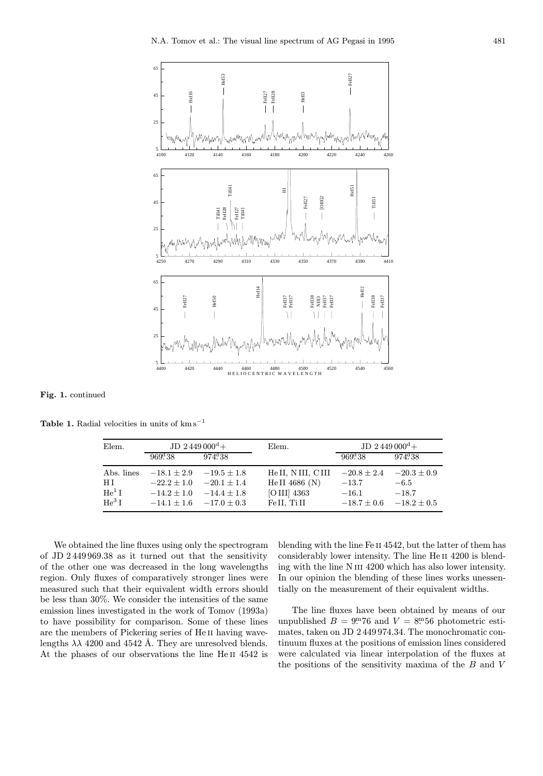

Fig. 1. continued

Table 1. Radial velocities in units of  $km s^{-1}$ 

| Elem.             | $JD$ 2 449 000 <sup>d</sup> + |                  | Elem.            | $JD 2449000^d +$ |                 |
|-------------------|-------------------------------|------------------|------------------|------------------|-----------------|
|                   | $969^{d}38$                   | $974^{\rm d}.38$ |                  | $969^{d}38$      | $974^{d}.38$    |
| Abs. lines        | $-18.1 \pm 2.9$               | $-19.5 + 1.8$    | HeII, NIII, CIII | $-20.8 \pm 2.4$  | $-20.3 \pm 0.9$ |
| НI                | $-22.2 + 1.0$                 | $-20.1 + 1.4$    | He II 4686 (N)   | $-13.7$          | $-6.5$          |
| He <sup>1</sup> I | $-14.2 + 1.0$                 | $-14.4 + 1.8$    | [O III] 4363     | $-16.1$          | $-18.7$         |
| $He3$ I           | $-14.1 \pm 1.6$               | $-17.0 + 0.3$    | Fe II, Ti II     | $-18.7\pm0.6$    | $-18.2 \pm 0.5$ |

We obtained the line fluxes using only the spectrogram of JD 2 449 969.38 as it turned out that the sensitivity of the other one was decreased in the long wavelengths region. Only fluxes of comparatively stronger lines were measured such that their equivalent width errors should be less than 30%. We consider the intensities of the same emission lines investigated in the work of Tomov (1993a) to have possibility for comparison. Some of these lines are the members of Pickering series of He ii having wavelengths  $\lambda\lambda$  4200 and 4542 Å. They are unresolved blends. At the phases of our observations the line He II 4542 is

blending with the line Fe ii 4542, but the latter of them has considerably lower intensity. The line He II 4200 is blending with the line N III 4200 which has also lower intensity. In our opinion the blending of these lines works unessentially on the measurement of their equivalent widths.

The line fluxes have been obtained by means of our unpublished  $B = 9.76$  and  $V = 8.56$  photometric estimates, taken on JD 2 449 974.34. The monochromatic continuum fluxes at the positions of emission lines considered were calculated via linear interpolation of the fluxes at the positions of the sensitivity maxima of the  $B$  and  $V$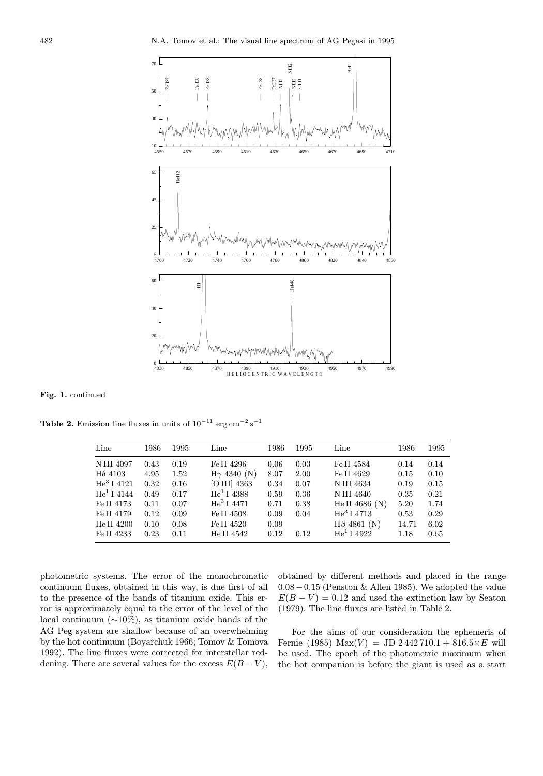

Fig. 1. continued

Table 2. Emission line fluxes in units of  $10^{-11}$  erg cm<sup>-2</sup> s<sup>-1</sup>

| Line                 | 1986 | 1995 | Line                | 1986 | 1995 | Line                 | 1986  | 1995 |
|----------------------|------|------|---------------------|------|------|----------------------|-------|------|
| <b>NIII 4097</b>     | 0.43 | 0.19 | Fe II 4296          | 0.06 | 0.03 | Fe II 4584           | 0.14  | 0.14 |
| $H\delta$ 4103       | 4.95 | 1.52 | $H\gamma$ 4340 (N)  | 8.07 | 2.00 | Fe II 4629           | 0.15  | 0.10 |
| $\text{He}^3$ I 4121 | 0.32 | 0.16 | $[O III]$ 4363      | 0.34 | 0.07 | N III 4634           | 0.19  | 0.15 |
| $\rm{He^1\,I}$ 4144  | 0.49 | 0.17 | $\rm{He^1\,I}$ 4388 | 0.59 | 0.36 | N III 4640           | 0.35  | 0.21 |
| Fe II 4173           | 0.11 | 0.07 | $He^{3}$ I 4471     | 0.71 | 0.38 | He II 4686 (N)       | 5.20  | 1.74 |
| Fe II 4179           | 0.12 | 0.09 | Fe II 4508          | 0.09 | 0.04 | $\text{He}^3$ I 4713 | 0.53  | 0.29 |
| He II 4200           | 0.10 | 0.08 | Fe II 4520          | 0.09 |      | $H\beta$ 4861 (N)    | 14.71 | 6.02 |
| Fe II 4233           | 0.23 | 0.11 | He II 4542          | 0.12 | 0.12 | $\rm{He^1}$ I 4922   | 1.18  | 0.65 |

photometric systems. The error of the monochromatic continuum fluxes, obtained in this way, is due first of all to the presence of the bands of titanium oxide. This error is approximately equal to the error of the level of the local continuum (∼10%), as titanium oxide bands of the AG Peg system are shallow because of an overwhelming by the hot continuum (Boyarchuk 1966; Tomov & Tomova 1992). The line fluxes were corrected for interstellar reddening. There are several values for the excess  $E(B-V)$ ,

obtained by different methods and placed in the range 0.08−0.15 (Penston & Allen 1985). We adopted the value  $E(B - V) = 0.12$  and used the extinction law by Seaton (1979). The line fluxes are listed in Table 2.

For the aims of our consideration the ephemeris of Fernie (1985) Max(V) = JD 2 442 710.1 + 816.5  $\times E$  will be used. The epoch of the photometric maximum when the hot companion is before the giant is used as a start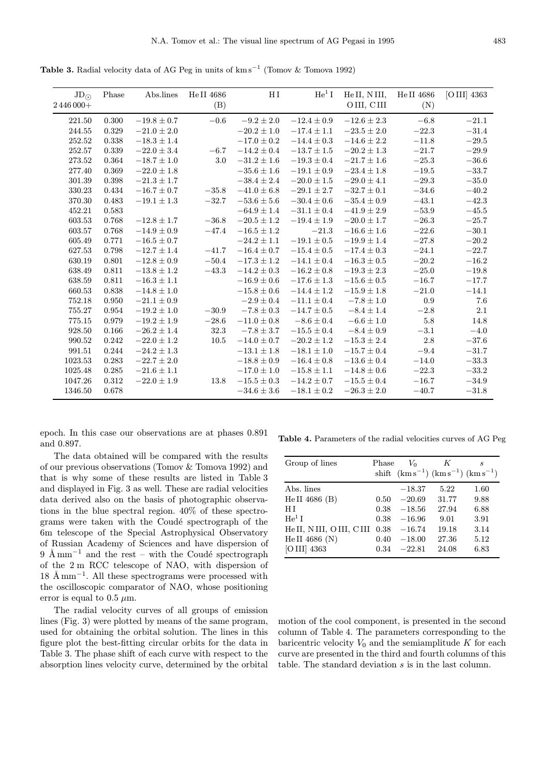Table 3. Radial velocity data of AG Peg in units of km s<sup>−1</sup> (Tomov & Tomova 1992)

| $JD_{\odot}$ | Phase       | Abs.lines       | He II 4686 | $_{\rm H\,I}$   | He <sup>1</sup> I | He II, N III,   | He II 4686 | $[O III]$ 4363 |
|--------------|-------------|-----------------|------------|-----------------|-------------------|-----------------|------------|----------------|
| 2446000+     |             |                 | (B)        |                 |                   | OIII, CIII      | (N)        |                |
| 221.50       | 0.300       | $-19.8 \pm 0.7$ | $-0.6$     | $-9.2 \pm 2.0$  | $-12.4 \pm 0.9$   | $-12.6\pm2.3$   | $-6.8$     | $-21.1$        |
| 244.55       | 0.329       | $-21.0\pm2.0$   |            | $-20.2 \pm 1.0$ | $-17.4 \pm 1.1$   | $-23.5 \pm 2.0$ | $-22.3$    | $-31.4$        |
| 252.52       | 0.338       | $-18.3 \pm 1.4$ |            | $-17.0 \pm 0.2$ | $-14.4 \pm 0.3$   | $-14.6 \pm 2.2$ | $-11.8$    | $-29.5$        |
| 252.57       | 0.339       | $-22.0 \pm 3.4$ | $\!-6.7$   | $-14.2 \pm 0.4$ | $-13.7 \pm 1.5$   | $-20.2 \pm 1.3$ | $-21.7$    | $-29.9$        |
| 273.52       | 0.364       | $-18.7 \pm 1.0$ | 3.0        | $-31.2 \pm 1.6$ | $-19.3 \pm 0.4$   | $-21.7 \pm 1.6$ | $-25.3$    | $-36.6$        |
| 277.40       | 0.369       | $-22.0 \pm 1.8$ |            | $-35.6\pm1.6$   | $-19.1 \pm 0.9$   | $-23.4 \pm 1.8$ | $-19.5$    | $-33.7$        |
| 301.39       | 0.398       | $-21.3 \pm 1.7$ |            | $-38.4 \pm 2.4$ | $-20.0 \pm 1.5$   | $-29.0\pm4.1$   | $-29.3$    | $-35.0\,$      |
| 330.23       | $\,0.434\,$ | $-16.7 \pm 0.7$ | $-35.8$    | $-41.0 \pm 6.8$ | $-29.1 \pm 2.7$   | $-32.7 \pm 0.1$ | $-34.6$    | $-40.2$        |
| 370.30       | 0.483       | $-19.1 \pm 1.3$ | $-32.7$    | $-53.6 \pm 5.6$ | $-30.4 \pm 0.6$   | $-35.4 \pm 0.9$ | $-43.1$    | $-42.3$        |
| 452.21       | 0.583       |                 |            | $-64.9 \pm 1.4$ | $-31.1 \pm 0.4$   | $-41.9 \pm 2.9$ | $-53.9$    | $-45.5$        |
| 603.53       | 0.768       | $-12.8 \pm 1.7$ | $-36.8$    | $-20.5 \pm 1.2$ | $-19.4 \pm 1.9$   | $-20.0 \pm 1.7$ | $-26.3$    | $-25.7$        |
| 603.57       | 0.768       | $-14.9 \pm 0.9$ | $-47.4$    | $-16.5 \pm 1.2$ | $-21.3$           | $-16.6 \pm 1.6$ | $-22.6$    | $-30.1$        |
| 605.49       | 0.771       | $-16.5 \pm 0.7$ |            | $-24.2 \pm 1.1$ | $-19.1 \pm 0.5$   | $-19.9 \pm 1.4$ | $-27.8$    | $-20.2$        |
| 627.53       | 0.798       | $-12.7 \pm 1.4$ | $-41.7$    | $-16.4 \pm 0.7$ | $-15.4 \pm 0.5$   | $-17.4 \pm 0.3$ | $-24.1$    | $-22.7$        |
| 630.19       | 0.801       | $-12.8 \pm 0.9$ | $-50.4$    | $-17.3 \pm 1.2$ | $-14.1 \pm 0.4$   | $-16.3 \pm 0.5$ | $-20.2$    | $-16.2\,$      |
| 638.49       | 0.811       | $-13.8 \pm 1.2$ | $-43.3$    | $-14.2 \pm 0.3$ | $-16.2 \pm 0.8$   | $-19.3 \pm 2.3$ | $-25.0$    | $-19.8$        |
| 638.59       | 0.811       | $-16.3\pm1.1$   |            | $-16.9\pm0.6$   | $-17.6 \pm 1.3$   | $-15.6 \pm 0.5$ | $-16.7$    | $-17.7$        |
| 660.53       | 0.838       | $-14.8 \pm 1.0$ |            | $-15.8 \pm 0.6$ | $-14.4 \pm 1.2$   | $-15.9 \pm 1.8$ | $-21.0$    | $-14.1$        |
| 752.18       | 0.950       | $-21.1 \pm 0.9$ |            | $-2.9 \pm 0.4$  | $-11.1 \pm 0.4$   | $-7.8 \pm 1.0$  | 0.9        | 7.6            |
| 755.27       | 0.954       | $-19.2 \pm 1.0$ | $-30.9$    | $-7.8 \pm 0.3$  | $-14.7 \pm 0.5$   | $-8.4 \pm 1.4$  | $-2.8$     | 2.1            |
| 775.15       | 0.979       | $-19.2 \pm 1.9$ | $-28.6\,$  | $-11.0 \pm 0.8$ | $-8.6 \pm 0.4$    | $-6.6\pm1.0$    | $5.8\,$    | 14.8           |
| 928.50       | 0.166       | $-26.2 \pm 1.4$ | 32.3       | $-7.8 \pm 3.7$  | $-15.5 \pm 0.4$   | $-8.4 \pm 0.9$  | $-3.1$     | $-4.0$         |
| 990.52       | 0.242       | $-22.0 \pm 1.2$ | 10.5       | $-14.0 \pm 0.7$ | $-20.2 \pm 1.2$   | $-15.3 \pm 2.4$ | $2.8\,$    | $-37.6$        |
| 991.51       | 0.244       | $-24.2 \pm 1.3$ |            | $-13.1 \pm 1.8$ | $-18.1 \pm 1.0$   | $-15.7 \pm 0.4$ | $-9.4$     | $-31.7$        |
| 1023.53      | 0.283       | $-22.7 \pm 2.0$ |            | $-18.8 \pm 0.9$ | $-16.4 \pm 0.8$   | $-13.6 \pm 0.4$ | $-14.0$    | $-33.3$        |
| 1025.48      | 0.285       | $-21.6\pm1.1$   |            | $-17.0 \pm 1.0$ | $-15.8 \pm 1.1$   | $-14.8 \pm 0.6$ | $-22.3$    | $-33.2\,$      |
| 1047.26      | 0.312       | $-22.0 \pm 1.9$ | 13.8       | $-15.5 \pm 0.3$ | $-14.2 \pm 0.7$   | $-15.5 \pm 0.4$ | $-16.7$    | $-34.9$        |
| 1346.50      | 0.678       |                 |            | $-34.6 \pm 3.6$ | $-18.1 \pm 0.2$   | $-26.3 \pm 2.0$ | $-40.7$    | $-31.8$        |

epoch. In this case our observations are at phases 0.891 and 0.897.

The data obtained will be compared with the results of our previous observations (Tomov & Tomova 1992) and that is why some of these results are listed in Table 3 and displayed in Fig. 3 as well. These are radial velocities data derived also on the basis of photographic observations in the blue spectral region. 40% of these spectrograms were taken with the Coudé spectrograph of the 6m telescope of the Special Astrophysical Observatory of Russian Academy of Sciences and have dispersion of  $9 \text{ Å mm}^{-1}$  and the rest – with the Coudé spectrograph of the 2 m RCC telescope of NAO, with dispersion of  $18 \text{ A mm}^{-1}$ . All these spectrograms were processed with the oscilloscopic comparator of NAO, whose positioning error is equal to 0.5  $\mu$ m.

The radial velocity curves of all groups of emission lines (Fig. 3) were plotted by means of the same program, used for obtaining the orbital solution. The lines in this figure plot the best-fitting circular orbits for the data in Table 3. The phase shift of each curve with respect to the absorption lines velocity curve, determined by the orbital

Table 4. Parameters of the radial velocities curves of AG Peg

| Group of lines         | Phase | $V_0$    | K<br>shift $(kms^{-1}) (km s^{-1}) (km s^{-1})$ | S    |
|------------------------|-------|----------|-------------------------------------------------|------|
| Abs. lines             |       | $-18.37$ | 5.22                                            | 1.60 |
| He II $4686$ (B)       | 0.50  | $-20.69$ | 31.77                                           | 9.88 |
| НI                     | 0.38  | $-18.56$ | 27.94                                           | 6.88 |
| $He1$ I                | 0.38  | $-16.96$ | 9.01                                            | 3.91 |
| HeII, NIII, OIII, CIII | 0.38  | $-16.74$ | 19.18                                           | 3.14 |
| He II 4686 (N)         | 0.40  | $-18.00$ | 27.36                                           | 5.12 |
| [O III] 4363           | 0.34  | $-22.81$ | 24.08                                           | 6.83 |

motion of the cool component, is presented in the second column of Table 4. The parameters corresponding to the baricentric velocity  $V_0$  and the semiamplitude K for each curve are presented in the third and fourth columns of this table. The standard deviation s is in the last column.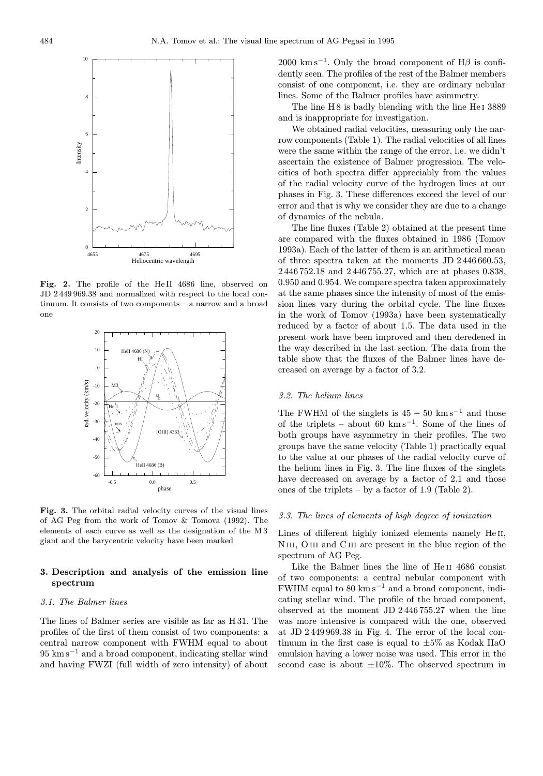

Fig. 2. The profile of the HeII 4686 line, observed on JD 2 449 969.38 and normalized with respect to the local continuum. It consists of two components – a narrow and a broad one



Fig. 3. The orbital radial velocity curves of the visual lines of AG Peg from the work of Tomov & Tomova (1992). The elements of each curve as well as the designation of the M 3 giant and the barycentric velocity have been marked

# 3. Description and analysis of the emission line spectrum

#### 3.1. The Balmer lines

The lines of Balmer series are visible as far as H 31. The profiles of the first of them consist of two components: a central narrow component with FWHM equal to about 95 km s<sup>−</sup><sup>1</sup> and a broad component, indicating stellar wind and having FWZI (full width of zero intensity) of about 2000 km s<sup>-1</sup>. Only the broad component of H $\beta$  is confidently seen. The profiles of the rest of the Balmer members consist of one component, i.e. they are ordinary nebular lines. Some of the Balmer profiles have asimmetry.

The line H 8 is badly blending with the line He<sub>I</sub> 3889 and is inappropriate for investigation.

We obtained radial velocities, measuring only the narrow components (Table 1). The radial velocities of all lines were the same within the range of the error, i.e. we didn't ascertain the existence of Balmer progression. The velocities of both spectra differ appreciably from the values of the radial velocity curve of the hydrogen lines at our phases in Fig. 3. These differences exceed the level of our error and that is why we consider they are due to a change of dynamics of the nebula.

The line fluxes (Table 2) obtained at the present time are compared with the fluxes obtained in 1986 (Tomov 1993a). Each of the latter of them is an arithmetical mean of three spectra taken at the moments JD 2 446 660.53, 2 446 752.18 and 2 446 755.27, which are at phases 0.838, 0.950 and 0.954. We compare spectra taken approximately at the same phases since the intensity of most of the emission lines vary during the orbital cycle. The line fluxes in the work of Tomov (1993a) have been systematically reduced by a factor of about 1.5. The data used in the present work have been improved and then deredened in the way described in the last section. The data from the table show that the fluxes of the Balmer lines have decreased on average by a factor of 3.2.

## 3.2. The helium lines

The FWHM of the singlets is  $45 - 50$  km s<sup>-1</sup> and those of the triplets – about 60 km s<sup> $-1$ </sup>. Some of the lines of both groups have asymmetry in their profiles. The two groups have the same velocity (Table 1) practically equal to the value at our phases of the radial velocity curve of the helium lines in Fig. 3. The line fluxes of the singlets have decreased on average by a factor of 2.1 and those ones of the triplets – by a factor of 1.9 (Table 2).

#### 3.3. The lines of elements of high degree of ionization

Lines of different highly ionized elements namely He II, NIII, OIII and CIII are present in the blue region of the spectrum of AG Peg.

Like the Balmer lines the line of He<sub>II</sub> 4686 consist of two components: a central nebular component with FWHM equal to  $80 \text{ km s}^{-1}$  and a broad component, indicating stellar wind. The profile of the broad component, observed at the moment JD 2 446 755.27 when the line was more intensive is compared with the one, observed at JD 2 449 969.38 in Fig. 4. The error of the local continuum in the first case is equal to  $\pm 5\%$  as Kodak IIaO emulsion having a lower noise was used. This error in the second case is about  $\pm 10\%$ . The observed spectrum in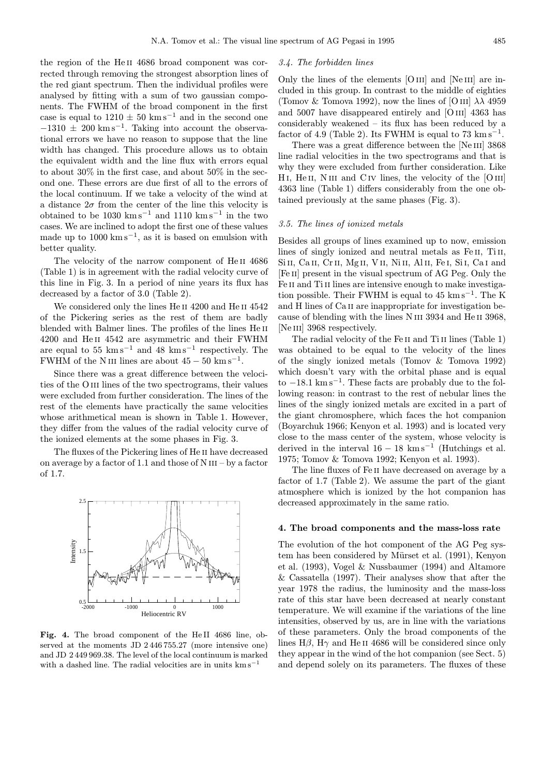the region of the He ii 4686 broad component was corrected through removing the strongest absorption lines of the red giant spectrum. Then the individual profiles were analysed by fitting with a sum of two gaussian components. The FWHM of the broad component in the first case is equal to  $1210 \pm 50$  km s<sup>-1</sup> and in the second one  $-1310 \pm 200$  km s<sup>-1</sup>. Taking into account the observational errors we have no reason to suppose that the line width has changed. This procedure allows us to obtain the equivalent width and the line flux with errors equal to about 30% in the first case, and about 50% in the second one. These errors are due first of all to the errors of the local continuum. If we take a velocity of the wind at a distance  $2\sigma$  from the center of the line this velocity is obtained to be 1030 km s<sup>-1</sup> and 1110 km s<sup>-1</sup> in the two cases. We are inclined to adopt the first one of these values made up to  $1000 \text{ km s}^{-1}$ , as it is based on emulsion with better quality.

The velocity of the narrow component of He<sub>II</sub> 4686 (Table 1) is in agreement with the radial velocity curve of this line in Fig. 3. In a period of nine years its flux has decreased by a factor of 3.0 (Table 2).

We considered only the lines He II 4200 and He II 4542 of the Pickering series as the rest of them are badly blended with Balmer lines. The profiles of the lines He<sub>II</sub> 4200 and He ii 4542 are asymmetric and their FWHM are equal to 55 km s<sup> $-1$ </sup> and 48 km s<sup> $-1$ </sup> respectively. The FWHM of the N III lines are about  $45 - 50$  km s<sup>-1</sup>.

Since there was a great difference between the velocities of the O<sub>III</sub> lines of the two spectrograms, their values were excluded from further consideration. The lines of the rest of the elements have practically the same velocities whose arithmetical mean is shown in Table 1. However, they differ from the values of the radial velocity curve of the ionized elements at the some phases in Fig. 3.

The fluxes of the Pickering lines of He ii have decreased on average by a factor of 1.1 and those of  $N$  III – by a factor of 1.7.



Fig. 4. The broad component of the He II 4686 line, observed at the moments JD 2 446 755.27 (more intensive one) and JD 2 449 969.38. The level of the local continuum is marked with a dashed line. The radial velocities are in units  $km s^{-1}$ 

#### 3.4. The forbidden lines

Only the lines of the elements  $[O III]$  and  $[Ne III]$  are included in this group. In contrast to the middle of eighties (Tomov & Tomova 1992), now the lines of [O III]  $\lambda\lambda$  4959 and 5007 have disappeared entirely and [O iii] 4363 has considerably weakened – its flux has been reduced by a factor of 4.9 (Table 2). Its FWHM is equal to  $73 \text{ km s}^{-1}$ .

There was a great difference between the [Ne III] 3868 line radial velocities in the two spectrograms and that is why they were excluded from further consideration. Like  $H I$ ,  $He II$ ,  $N III$  and  $C IV$  lines, the velocity of the  $[O III]$ 4363 line (Table 1) differs considerably from the one obtained previously at the same phases (Fig. 3).

#### 3.5. The lines of ionized metals

Besides all groups of lines examined up to now, emission lines of singly ionized and neutral metals as Fe II, Ti II, Si II, Ca II, Cr II, Mg II, V II, Ni II, Al II, Fe I, Si I, Ca I and [Fe ii] present in the visual spectrum of AG Peg. Only the Fe II and Ti II lines are intensive enough to make investigation possible. Their FWHM is equal to  $45 \text{ km s}^{-1}$ . The K and H lines of Ca II are inappropriate for investigation because of blending with the lines N III 3934 and He II 3968, [Ne III] 3968 respectively.

The radial velocity of the Fe II and Ti II lines (Table 1) was obtained to be equal to the velocity of the lines of the singly ionized metals (Tomov & Tomova 1992) which doesn't vary with the orbital phase and is equal to  $-18.1 \text{ km s}^{-1}$ . These facts are probably due to the following reason: in contrast to the rest of nebular lines the lines of the singly ionized metals are excited in a part of the giant chromosphere, which faces the hot companion (Boyarchuk 1966; Kenyon et al. 1993) and is located very close to the mass center of the system, whose velocity is derived in the interval  $16 - 18$  km s<sup>-1</sup> (Hutchings et al. 1975; Tomov & Tomova 1992; Kenyon et al. 1993).

The line fluxes of Fe ii have decreased on average by a factor of 1.7 (Table 2). We assume the part of the giant atmosphere which is ionized by the hot companion has decreased approximately in the same ratio.

# 4. The broad components and the mass-loss rate

The evolution of the hot component of the AG Peg system has been considered by Mürset et al. (1991), Kenyon et al. (1993), Vogel & Nussbaumer (1994) and Altamore & Cassatella (1997). Their analyses show that after the year 1978 the radius, the luminosity and the mass-loss rate of this star have been decreased at nearly constant temperature. We will examine if the variations of the line intensities, observed by us, are in line with the variations of these parameters. Only the broad components of the lines H $\beta$ , H $\gamma$  and He II 4686 will be considered since only they appear in the wind of the hot companion (see Sect. 5) and depend solely on its parameters. The fluxes of these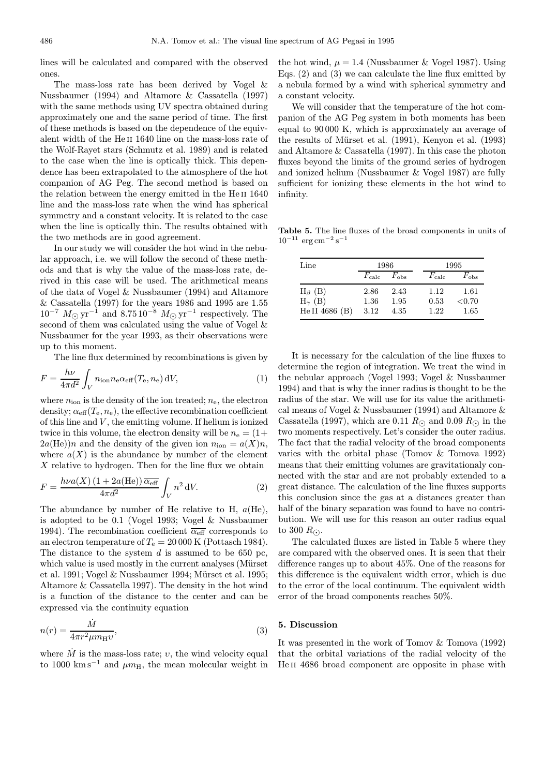lines will be calculated and compared with the observed ones.

The mass-loss rate has been derived by Vogel & Nussbaumer (1994) and Altamore & Cassatella (1997) with the same methods using UV spectra obtained during approximately one and the same period of time. The first of these methods is based on the dependence of the equivalent width of the He<sub>II</sub> 1640 line on the mass-loss rate of the Wolf-Rayet stars (Schmutz et al. 1989) and is related to the case when the line is optically thick. This dependence has been extrapolated to the atmosphere of the hot companion of AG Peg. The second method is based on the relation between the energy emitted in the He II 1640 line and the mass-loss rate when the wind has spherical symmetry and a constant velocity. It is related to the case when the line is optically thin. The results obtained with the two methods are in good agreement.

In our study we will consider the hot wind in the nebular approach, i.e. we will follow the second of these methods and that is why the value of the mass-loss rate, derived in this case will be used. The arithmetical means of the data of Vogel & Nussbaumer (1994) and Altamore & Cassatella (1997) for the years 1986 and 1995 are 1.55  $10^{-7}$   $M_{\odot}$  yr<sup>-1</sup> and  $8.7510^{-8}$   $M_{\odot}$  yr<sup>-1</sup> respectively. The second of them was calculated using the value of Vogel & Nussbaumer for the year 1993, as their observations were up to this moment.

The line flux determined by recombinations is given by

$$
F = \frac{h\nu}{4\pi d^2} \int_{V} n_{\rm ion} n_{\rm e} \alpha_{\rm eff}(T_{\rm e}, n_{\rm e}) \,dV,\tag{1}
$$

where  $n_{\text{ion}}$  is the density of the ion treated;  $n_{\text{e}}$ , the electron density;  $\alpha_{\text{eff}}(T_{\text{e}}, n_{\text{e}})$ , the effective recombination coefficient of this line and  $V$ , the emitting volume. If helium is ionized twice in this volume, the electron density will be  $n_e = (1 +$  $2a(\text{He})$ )n and the density of the given ion  $n_{\text{ion}} = a(X)n$ , where  $a(X)$  is the abundance by number of the element  $X$  relative to hydrogen. Then for the line flux we obtain

$$
F = \frac{h\nu a(X) (1 + 2a(\text{He})) \overline{\alpha_{\text{eff}}}}{4\pi d^2} \int_V n^2 \,dV.
$$
 (2)

The abundance by number of He relative to H,  $a(He)$ , is adopted to be 0.1 (Vogel 1993; Vogel & Nussbaumer 1994). The recombination coefficient  $\overline{\alpha_{\text{eff}}}$  corresponds to an electron temperature of  $T_e = 20000$  K (Pottasch 1984). The distance to the system  $d$  is assumed to be 650 pc, which value is used mostly in the current analyses (Mürset et al. 1991; Vogel & Nussbaumer 1994; Mürset et al. 1995; Altamore & Cassatella 1997). The density in the hot wind is a function of the distance to the center and can be expressed via the continuity equation

$$
n(r) = \frac{\dot{M}}{4\pi r^2 \mu m_{\rm H} v},\tag{3}
$$

where  $M$  is the mass-loss rate;  $v$ , the wind velocity equal to 1000 km s<sup>-1</sup> and  $\mu m_H$ , the mean molecular weight in the hot wind,  $\mu = 1.4$  (Nussbaumer & Vogel 1987). Using Eqs. (2) and (3) we can calculate the line flux emitted by a nebula formed by a wind with spherical symmetry and a constant velocity.

We will consider that the temperature of the hot companion of the AG Peg system in both moments has been equal to 90 000 K, which is approximately an average of the results of Mürset et al.  $(1991)$ , Kenyon et al.  $(1993)$ and Altamore & Cassatella (1997). In this case the photon fluxes beyond the limits of the ground series of hydrogen and ionized helium (Nussbaumer & Vogel 1987) are fully sufficient for ionizing these elements in the hot wind to infinity.

Table 5. The line fluxes of the broad components in units of  $10^{-11}$  erg cm<sup>-2</sup> s<sup>-1</sup>

| $\mathop{\rm Line}\nolimits$ | 1986           |               |  | 1995           |               |  |
|------------------------------|----------------|---------------|--|----------------|---------------|--|
|                              | $F_{\rm calc}$ | $F_{\rm obs}$ |  | $F_{\rm calc}$ | $F_{\rm obs}$ |  |
| $H_{\beta}$ (B)              | 2.86           | 2.43          |  | 1.12           | 1.61          |  |
| $H_{\gamma}$ (B)             | 1.36           | 1.95          |  | 0.53           | ${<}0.70$     |  |
| He II 4686 (B)               | 3.12           | 4.35          |  | 1.22           | 1.65          |  |

It is necessary for the calculation of the line fluxes to determine the region of integration. We treat the wind in the nebular approach (Vogel 1993; Vogel & Nussbaumer 1994) and that is why the inner radius is thought to be the radius of the star. We will use for its value the arithmetical means of Vogel & Nussbaumer (1994) and Altamore & Cassatella (1997), which are 0.11  $R_{\odot}$  and 0.09  $R_{\odot}$  in the two moments respectively. Let's consider the outer radius. The fact that the radial velocity of the broad components varies with the orbital phase (Tomov & Tomova 1992) means that their emitting volumes are gravitationaly connected with the star and are not probably extended to a great distance. The calculation of the line fluxes supports this conclusion since the gas at a distances greater than half of the binary separation was found to have no contribution. We will use for this reason an outer radius equal to 300  $R_{\odot}$ .

The calculated fluxes are listed in Table 5 where they are compared with the observed ones. It is seen that their difference ranges up to about 45%. One of the reasons for this difference is the equivalent width error, which is due to the error of the local continuum. The equivalent width error of the broad components reaches 50%.

#### 5. Discussion

It was presented in the work of Tomov & Tomova (1992) that the orbital variations of the radial velocity of the He<sub>II</sub> 4686 broad component are opposite in phase with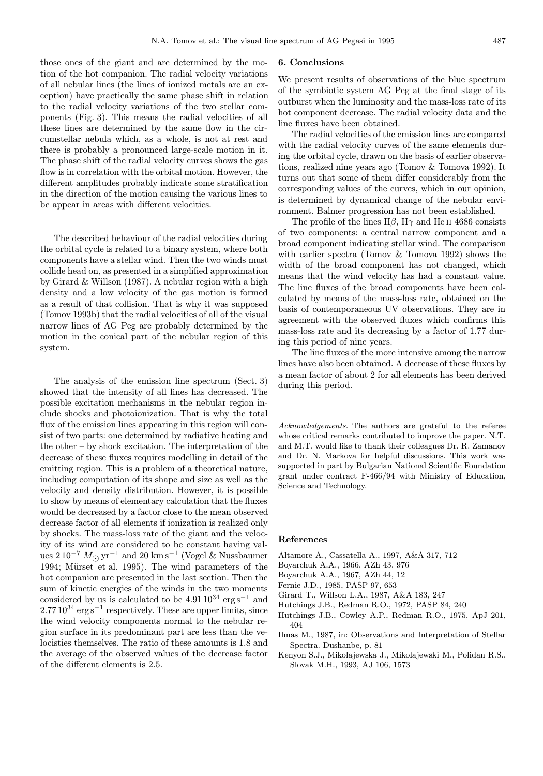those ones of the giant and are determined by the motion of the hot companion. The radial velocity variations of all nebular lines (the lines of ionized metals are an exception) have practically the same phase shift in relation to the radial velocity variations of the two stellar components (Fig. 3). This means the radial velocities of all these lines are determined by the same flow in the circumstellar nebula which, as a whole, is not at rest and there is probably a pronounced large-scale motion in it. The phase shift of the radial velocity curves shows the gas flow is in correlation with the orbital motion. However, the different amplitudes probably indicate some stratification in the direction of the motion causing the various lines to be appear in areas with different velocities.

The described behaviour of the radial velocities during the orbital cycle is related to a binary system, where both components have a stellar wind. Then the two winds must collide head on, as presented in a simplified approximation by Girard & Willson (1987). A nebular region with a high density and a low velocity of the gas motion is formed as a result of that collision. That is why it was supposed (Tomov 1993b) that the radial velocities of all of the visual narrow lines of AG Peg are probably determined by the motion in the conical part of the nebular region of this system.

The analysis of the emission line spectrum (Sect. 3) showed that the intensity of all lines has decreased. The possible excitation mechanisms in the nebular region include shocks and photoionization. That is why the total flux of the emission lines appearing in this region will consist of two parts: one determined by radiative heating and the other – by shock excitation. The interpretation of the decrease of these fluxes requires modelling in detail of the emitting region. This is a problem of a theoretical nature, including computation of its shape and size as well as the velocity and density distribution. However, it is possible to show by means of elementary calculation that the fluxes would be decreased by a factor close to the mean observed decrease factor of all elements if ionization is realized only by shocks. The mass-loss rate of the giant and the velocity of its wind are considered to be constant having values 2 $10^{-7}~M_{\odot}\rm\,yr^{-1}$  and 20  $\rm km\,s^{-1}$  (Vogel & Nussbaumer 1994; Mürset et al. 1995). The wind parameters of the hot companion are presented in the last section. Then the sum of kinetic energies of the winds in the two moments considered by us is calculated to be  $4.91\,10^{34}~\mathrm{erg\,s^{-1}}$  and  $2.7710^{34}$  erg s<sup>-1</sup> respectively. These are upper limits, since the wind velocity components normal to the nebular region surface in its predominant part are less than the velocisties themselves. The ratio of these amounts is 1.8 and the average of the observed values of the decrease factor of the different elements is 2.5.

#### 6. Conclusions

We present results of observations of the blue spectrum of the symbiotic system AG Peg at the final stage of its outburst when the luminosity and the mass-loss rate of its hot component decrease. The radial velocity data and the line fluxes have been obtained.

The radial velocities of the emission lines are compared with the radial velocity curves of the same elements during the orbital cycle, drawn on the basis of earlier observations, realized nine years ago (Tomov & Tomova 1992). It turns out that some of them differ considerably from the corresponding values of the curves, which in our opinion, is determined by dynamical change of the nebular environment. Balmer progression has not been established.

The profile of the lines  $H\beta$ ,  $H\gamma$  and He II 4686 consists of two components: a central narrow component and a broad component indicating stellar wind. The comparison with earlier spectra (Tomov & Tomova 1992) shows the width of the broad component has not changed, which means that the wind velocity has had a constant value. The line fluxes of the broad components have been calculated by means of the mass-loss rate, obtained on the basis of contemporaneous UV observations. They are in agreement with the observed fluxes which confirms this mass-loss rate and its decreasing by a factor of 1.77 during this period of nine years.

The line fluxes of the more intensive among the narrow lines have also been obtained. A decrease of these fluxes by a mean factor of about 2 for all elements has been derived during this period.

Acknowledgements. The authors are grateful to the referee whose critical remarks contributed to improve the paper. N.T. and M.T. would like to thank their colleagues Dr. R. Zamanov and Dr. N. Markova for helpful discussions. This work was supported in part by Bulgarian National Scientific Foundation grant under contract F-466/94 with Ministry of Education, Science and Technology.

#### References

- Altamore A., Cassatella A., 1997, A&A 317, 712
- Boyarchuk A.A., 1966, AZh 43, 976
- Boyarchuk A.A., 1967, AZh 44, 12
- Fernie J.D., 1985, PASP 97, 653
- Girard T., Willson L.A., 1987, A&A 183, 247
- Hutchings J.B., Redman R.O., 1972, PASP 84, 240
- Hutchings J.B., Cowley A.P., Redman R.O., 1975, ApJ 201, 404
- Ilmas M., 1987, in: Observations and Interpretation of Stellar Spectra. Dushanbe, p. 81
- Kenyon S.J., Mikolajewska J., Mikolajewski M., Polidan R.S., Slovak M.H., 1993, AJ 106, 1573